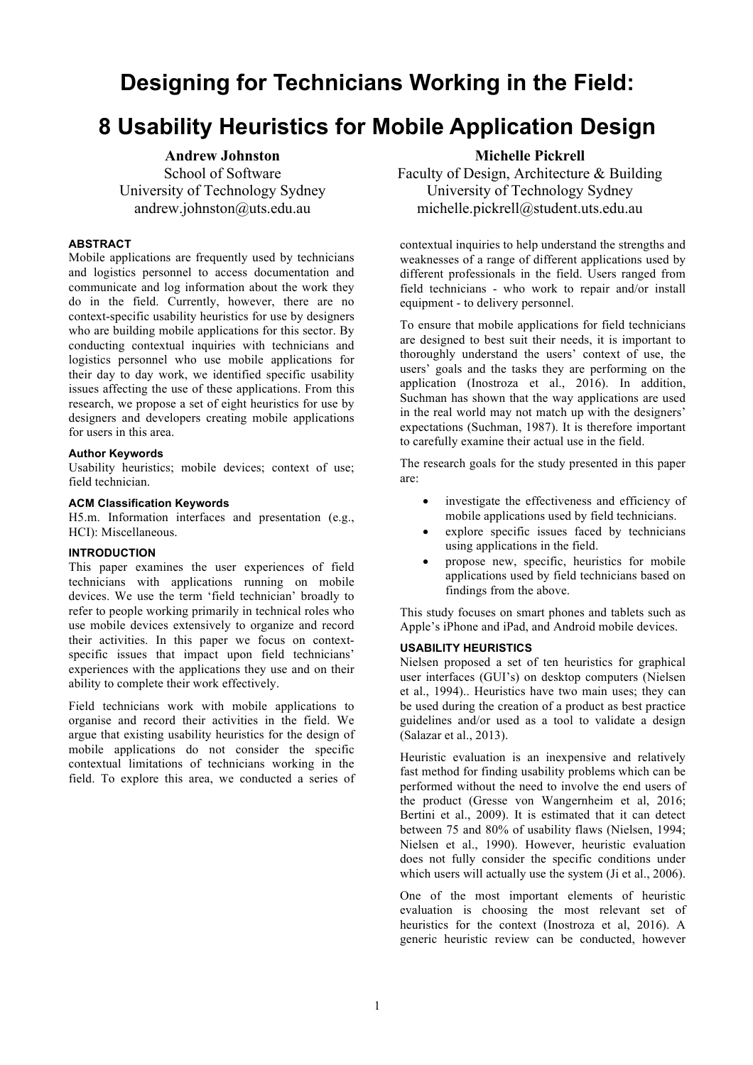# **Designing for Technicians Working in the Field:**

## **8 Usability Heuristics for Mobile Application Design**

**Andrew Johnston** School of Software University of Technology Sydney andrew.johnston@uts.edu.au

## **ABSTRACT**

Mobile applications are frequently used by technicians and logistics personnel to access documentation and communicate and log information about the work they do in the field. Currently, however, there are no context-specific usability heuristics for use by designers who are building mobile applications for this sector. By conducting contextual inquiries with technicians and logistics personnel who use mobile applications for their day to day work, we identified specific usability issues affecting the use of these applications. From this research, we propose a set of eight heuristics for use by designers and developers creating mobile applications for users in this area.

#### **Author Keywords**

Usability heuristics; mobile devices; context of use; field technician.

#### **ACM Classification Keywords**

H5.m. Information interfaces and presentation (e.g., HCI): Miscellaneous.

#### **INTRODUCTION**

This paper examines the user experiences of field technicians with applications running on mobile devices. We use the term 'field technician' broadly to refer to people working primarily in technical roles who use mobile devices extensively to organize and record their activities. In this paper we focus on contextspecific issues that impact upon field technicians' experiences with the applications they use and on their ability to complete their work effectively.

Field technicians work with mobile applications to organise and record their activities in the field. We argue that existing usability heuristics for the design of mobile applications do not consider the specific contextual limitations of technicians working in the field. To explore this area, we conducted a series of **Michelle Pickrell**

Faculty of Design, Architecture & Building University of Technology Sydney michelle.pickrell@student.uts.edu.au

contextual inquiries to help understand the strengths and weaknesses of a range of different applications used by different professionals in the field. Users ranged from field technicians - who work to repair and/or install equipment - to delivery personnel.

To ensure that mobile applications for field technicians are designed to best suit their needs, it is important to thoroughly understand the users' context of use, the users' goals and the tasks they are performing on the application (Inostroza et al., 2016). In addition, Suchman has shown that the way applications are used in the real world may not match up with the designers' expectations (Suchman, 1987). It is therefore important to carefully examine their actual use in the field.

The research goals for the study presented in this paper are:

- investigate the effectiveness and efficiency of mobile applications used by field technicians.
- explore specific issues faced by technicians using applications in the field.
- propose new, specific, heuristics for mobile applications used by field technicians based on findings from the above.

This study focuses on smart phones and tablets such as Apple's iPhone and iPad, and Android mobile devices.

## **USABILITY HEURISTICS**

Nielsen proposed a set of ten heuristics for graphical user interfaces (GUI's) on desktop computers (Nielsen et al., 1994).. Heuristics have two main uses; they can be used during the creation of a product as best practice guidelines and/or used as a tool to validate a design (Salazar et al., 2013).

Heuristic evaluation is an inexpensive and relatively fast method for finding usability problems which can be performed without the need to involve the end users of the product (Gresse von Wangernheim et al, 2016; Bertini et al., 2009). It is estimated that it can detect between 75 and 80% of usability flaws (Nielsen, 1994; Nielsen et al., 1990). However, heuristic evaluation does not fully consider the specific conditions under which users will actually use the system (Ji et al., 2006).

One of the most important elements of heuristic evaluation is choosing the most relevant set of heuristics for the context (Inostroza et al, 2016). A generic heuristic review can be conducted, however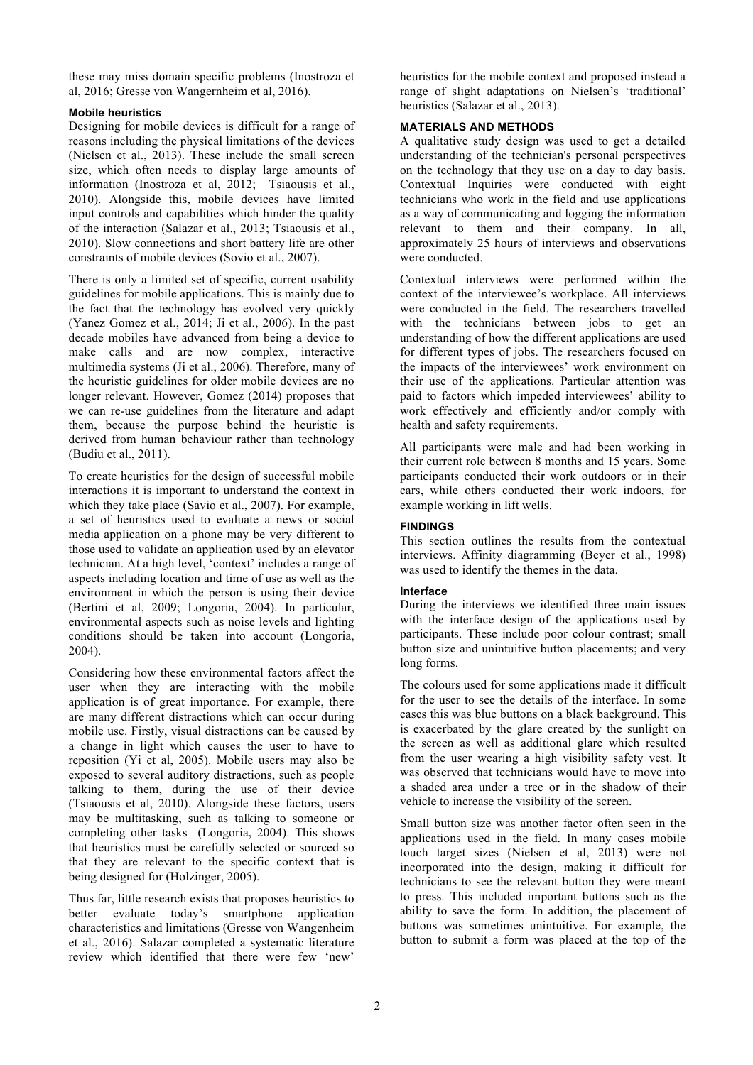these may miss domain specific problems (Inostroza et al, 2016; Gresse von Wangernheim et al, 2016).

## **Mobile heuristics**

Designing for mobile devices is difficult for a range of reasons including the physical limitations of the devices (Nielsen et al., 2013). These include the small screen size, which often needs to display large amounts of information (Inostroza et al, 2012; Tsiaousis et al., 2010). Alongside this, mobile devices have limited input controls and capabilities which hinder the quality of the interaction (Salazar et al., 2013; Tsiaousis et al., 2010). Slow connections and short battery life are other constraints of mobile devices (Sovio et al., 2007).

There is only a limited set of specific, current usability guidelines for mobile applications. This is mainly due to the fact that the technology has evolved very quickly (Yanez Gomez et al., 2014; Ji et al., 2006). In the past decade mobiles have advanced from being a device to make calls and are now complex, interactive multimedia systems (Ji et al., 2006). Therefore, many of the heuristic guidelines for older mobile devices are no longer relevant. However, Gomez (2014) proposes that we can re-use guidelines from the literature and adapt them, because the purpose behind the heuristic is derived from human behaviour rather than technology (Budiu et al., 2011).

To create heuristics for the design of successful mobile interactions it is important to understand the context in which they take place (Savio et al., 2007). For example, a set of heuristics used to evaluate a news or social media application on a phone may be very different to those used to validate an application used by an elevator technician. At a high level, 'context' includes a range of aspects including location and time of use as well as the environment in which the person is using their device (Bertini et al, 2009; Longoria, 2004). In particular, environmental aspects such as noise levels and lighting conditions should be taken into account (Longoria, 2004).

Considering how these environmental factors affect the user when they are interacting with the mobile application is of great importance. For example, there are many different distractions which can occur during mobile use. Firstly, visual distractions can be caused by a change in light which causes the user to have to reposition (Yi et al, 2005). Mobile users may also be exposed to several auditory distractions, such as people talking to them, during the use of their device (Tsiaousis et al, 2010). Alongside these factors, users may be multitasking, such as talking to someone or completing other tasks (Longoria, 2004). This shows that heuristics must be carefully selected or sourced so that they are relevant to the specific context that is being designed for (Holzinger, 2005).

Thus far, little research exists that proposes heuristics to better evaluate today's smartphone application characteristics and limitations (Gresse von Wangenheim et al., 2016). Salazar completed a systematic literature review which identified that there were few 'new'

heuristics for the mobile context and proposed instead a range of slight adaptations on Nielsen's 'traditional' heuristics (Salazar et al., 2013).

## **MATERIALS AND METHODS**

A qualitative study design was used to get a detailed understanding of the technician's personal perspectives on the technology that they use on a day to day basis. Contextual Inquiries were conducted with eight technicians who work in the field and use applications as a way of communicating and logging the information relevant to them and their company. In all, approximately 25 hours of interviews and observations were conducted.

Contextual interviews were performed within the context of the interviewee's workplace. All interviews were conducted in the field. The researchers travelled with the technicians between jobs to get an understanding of how the different applications are used for different types of jobs. The researchers focused on the impacts of the interviewees' work environment on their use of the applications. Particular attention was paid to factors which impeded interviewees' ability to work effectively and efficiently and/or comply with health and safety requirements.

All participants were male and had been working in their current role between 8 months and 15 years. Some participants conducted their work outdoors or in their cars, while others conducted their work indoors, for example working in lift wells.

## **FINDINGS**

This section outlines the results from the contextual interviews. Affinity diagramming (Beyer et al., 1998) was used to identify the themes in the data.

## **Interface**

During the interviews we identified three main issues with the interface design of the applications used by participants. These include poor colour contrast; small button size and unintuitive button placements; and very long forms.

The colours used for some applications made it difficult for the user to see the details of the interface. In some cases this was blue buttons on a black background. This is exacerbated by the glare created by the sunlight on the screen as well as additional glare which resulted from the user wearing a high visibility safety vest. It was observed that technicians would have to move into a shaded area under a tree or in the shadow of their vehicle to increase the visibility of the screen.

Small button size was another factor often seen in the applications used in the field. In many cases mobile touch target sizes (Nielsen et al, 2013) were not incorporated into the design, making it difficult for technicians to see the relevant button they were meant to press. This included important buttons such as the ability to save the form. In addition, the placement of buttons was sometimes unintuitive. For example, the button to submit a form was placed at the top of the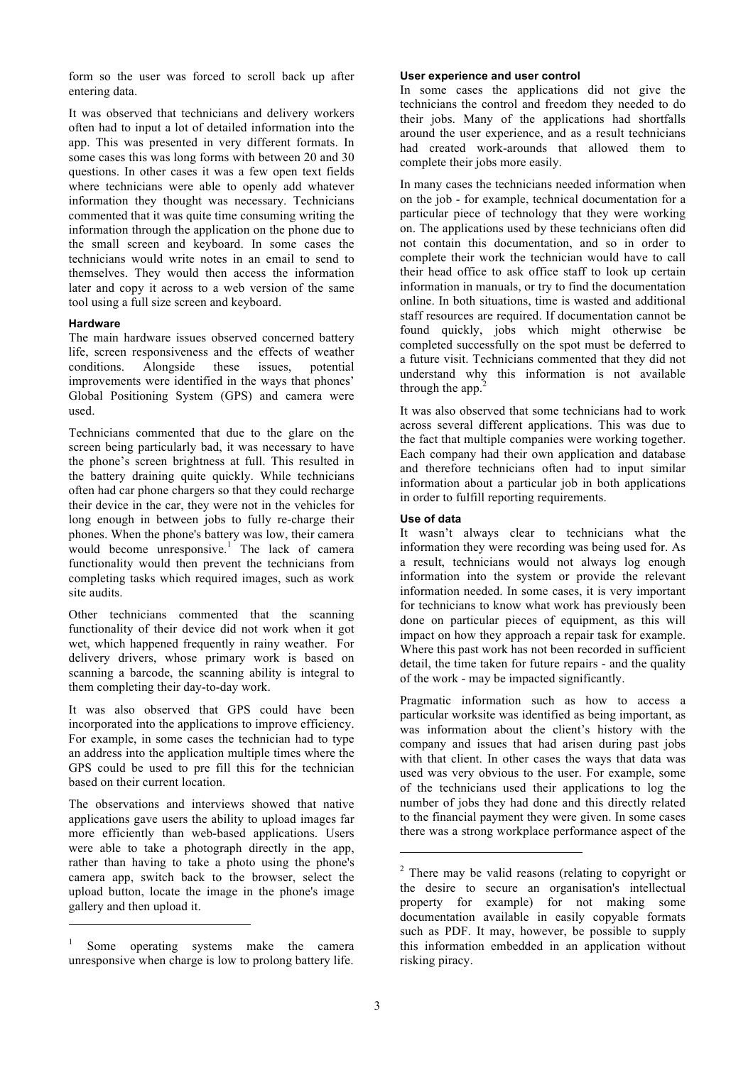form so the user was forced to scroll back up after entering data.

It was observed that technicians and delivery workers often had to input a lot of detailed information into the app. This was presented in very different formats. In some cases this was long forms with between 20 and 30 questions. In other cases it was a few open text fields where technicians were able to openly add whatever information they thought was necessary. Technicians commented that it was quite time consuming writing the information through the application on the phone due to the small screen and keyboard. In some cases the technicians would write notes in an email to send to themselves. They would then access the information later and copy it across to a web version of the same tool using a full size screen and keyboard.

#### **Hardware**

l

The main hardware issues observed concerned battery life, screen responsiveness and the effects of weather conditions. Alongside these issues, potential improvements were identified in the ways that phones' Global Positioning System (GPS) and camera were used.

Technicians commented that due to the glare on the screen being particularly bad, it was necessary to have the phone's screen brightness at full. This resulted in the battery draining quite quickly. While technicians often had car phone chargers so that they could recharge their device in the car, they were not in the vehicles for long enough in between jobs to fully re-charge their phones. When the phone's battery was low, their camera would become unresponsive.<sup>1</sup> The lack of camera functionality would then prevent the technicians from completing tasks which required images, such as work site audits.

Other technicians commented that the scanning functionality of their device did not work when it got wet, which happened frequently in rainy weather. For delivery drivers, whose primary work is based on scanning a barcode, the scanning ability is integral to them completing their day-to-day work.

It was also observed that GPS could have been incorporated into the applications to improve efficiency. For example, in some cases the technician had to type an address into the application multiple times where the GPS could be used to pre fill this for the technician based on their current location.

The observations and interviews showed that native applications gave users the ability to upload images far more efficiently than web-based applications. Users were able to take a photograph directly in the app, rather than having to take a photo using the phone's camera app, switch back to the browser, select the upload button, locate the image in the phone's image gallery and then upload it.

## **User experience and user control**

In some cases the applications did not give the technicians the control and freedom they needed to do their jobs. Many of the applications had shortfalls around the user experience, and as a result technicians had created work-arounds that allowed them to complete their jobs more easily.

In many cases the technicians needed information when on the job - for example, technical documentation for a particular piece of technology that they were working on. The applications used by these technicians often did not contain this documentation, and so in order to complete their work the technician would have to call their head office to ask office staff to look up certain information in manuals, or try to find the documentation online. In both situations, time is wasted and additional staff resources are required. If documentation cannot be found quickly, jobs which might otherwise be completed successfully on the spot must be deferred to a future visit. Technicians commented that they did not understand why this information is not available through the app. $\frac{2}{3}$ 

It was also observed that some technicians had to work across several different applications. This was due to the fact that multiple companies were working together. Each company had their own application and database and therefore technicians often had to input similar information about a particular job in both applications in order to fulfill reporting requirements.

#### **Use of data**

It wasn't always clear to technicians what the information they were recording was being used for. As a result, technicians would not always log enough information into the system or provide the relevant information needed. In some cases, it is very important for technicians to know what work has previously been done on particular pieces of equipment, as this will impact on how they approach a repair task for example. Where this past work has not been recorded in sufficient detail, the time taken for future repairs - and the quality of the work - may be impacted significantly.

Pragmatic information such as how to access a particular worksite was identified as being important, as was information about the client's history with the company and issues that had arisen during past jobs with that client. In other cases the ways that data was used was very obvious to the user. For example, some of the technicians used their applications to log the number of jobs they had done and this directly related to the financial payment they were given. In some cases there was a strong workplace performance aspect of the

 $\overline{a}$ 

Some operating systems make the camera unresponsive when charge is low to prolong battery life.

<sup>2</sup> There may be valid reasons (relating to copyright or the desire to secure an organisation's intellectual property for example) for not making some documentation available in easily copyable formats such as PDF. It may, however, be possible to supply this information embedded in an application without risking piracy.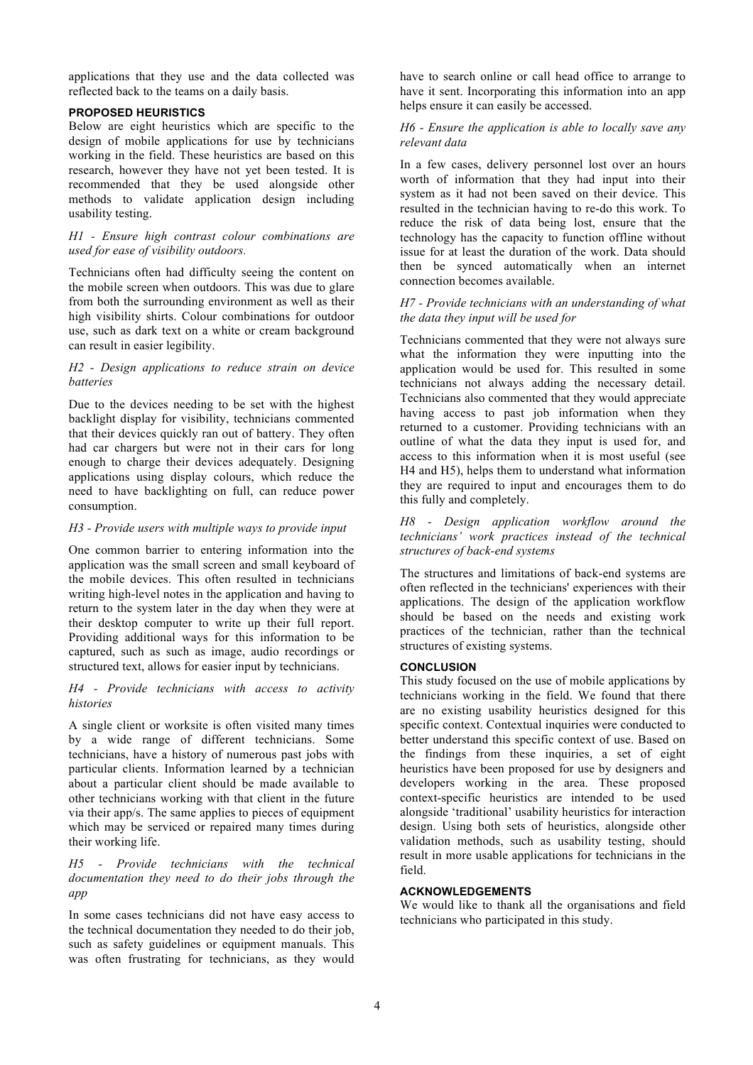applications that they use and the data collected was reflected back to the teams on a daily basis.

## **PROPOSED HEURISTICS**

Below are eight heuristics which are specific to the design of mobile applications for use by technicians working in the field. These heuristics are based on this research, however they have not yet been tested. It is recommended that they be used alongside other methods to validate application design including usability testing.

## *H1 - Ensure high contrast colour combinations are used for ease of visibility outdoors.*

Technicians often had difficulty seeing the content on the mobile screen when outdoors. This was due to glare from both the surrounding environment as well as their high visibility shirts. Colour combinations for outdoor use, such as dark text on a white or cream background can result in easier legibility.

## *H2 - Design applications to reduce strain on device batteries*

Due to the devices needing to be set with the highest backlight display for visibility, technicians commented that their devices quickly ran out of battery. They often had car chargers but were not in their cars for long enough to charge their devices adequately. Designing applications using display colours, which reduce the need to have backlighting on full, can reduce power consumption.

## *H3 - Provide users with multiple ways to provide input*

One common barrier to entering information into the application was the small screen and small keyboard of the mobile devices. This often resulted in technicians writing high-level notes in the application and having to return to the system later in the day when they were at their desktop computer to write up their full report. Providing additional ways for this information to be captured, such as such as image, audio recordings or structured text, allows for easier input by technicians.

## *H4 - Provide technicians with access to activity histories*

A single client or worksite is often visited many times by a wide range of different technicians. Some technicians, have a history of numerous past jobs with particular clients. Information learned by a technician about a particular client should be made available to other technicians working with that client in the future via their app/s. The same applies to pieces of equipment which may be serviced or repaired many times during their working life.

## *H5 - Provide technicians with the technical documentation they need to do their jobs through the app*

In some cases technicians did not have easy access to the technical documentation they needed to do their job, such as safety guidelines or equipment manuals. This was often frustrating for technicians, as they would

have to search online or call head office to arrange to have it sent. Incorporating this information into an app helps ensure it can easily be accessed.

## *H6 - Ensure the application is able to locally save any relevant data*

In a few cases, delivery personnel lost over an hours worth of information that they had input into their system as it had not been saved on their device. This resulted in the technician having to re-do this work. To reduce the risk of data being lost, ensure that the technology has the capacity to function offline without issue for at least the duration of the work. Data should then be synced automatically when an internet connection becomes available.

## *H7 - Provide technicians with an understanding of what the data they input will be used for*

Technicians commented that they were not always sure what the information they were inputting into the application would be used for. This resulted in some technicians not always adding the necessary detail. Technicians also commented that they would appreciate having access to past job information when they returned to a customer. Providing technicians with an outline of what the data they input is used for, and access to this information when it is most useful (see H4 and H5), helps them to understand what information they are required to input and encourages them to do this fully and completely.

*H8 - Design application workflow around the technicians' work practices instead of the technical structures of back-end systems*

The structures and limitations of back-end systems are often reflected in the technicians' experiences with their applications. The design of the application workflow should be based on the needs and existing work practices of the technician, rather than the technical structures of existing systems.

## **CONCLUSION**

This study focused on the use of mobile applications by technicians working in the field. We found that there are no existing usability heuristics designed for this specific context. Contextual inquiries were conducted to better understand this specific context of use. Based on the findings from these inquiries, a set of eight heuristics have been proposed for use by designers and developers working in the area. These proposed context-specific heuristics are intended to be used alongside 'traditional' usability heuristics for interaction design. Using both sets of heuristics, alongside other validation methods, such as usability testing, should result in more usable applications for technicians in the field.

## **ACKNOWLEDGEMENTS**

We would like to thank all the organisations and field technicians who participated in this study.